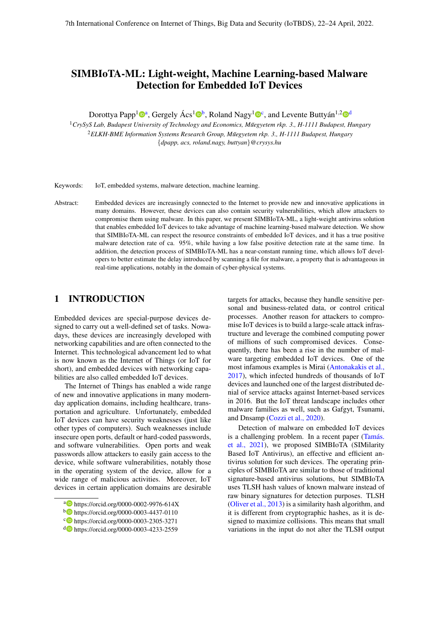# SIMBIoTA-ML: Light-weight, Machine Learning-based Malware Detection for Embedded IoT Devices

Dorottya Papp<sup>1</sup><sup>®</sup>ª, Gergely Ács<sup>1</sup>®<sup>b</sup>, Roland Nagy<sup>1</sup>®<sup>c</sup>, and Levente Buttyán<sup>1,2</sup>®<sup>d</sup>

<sup>1</sup>*CrySyS Lab, Budapest University of Technology and Economics, Muegyetem rkp. 3., H-1111 Budapest, Hungary ˝* <sup>2</sup>*ELKH-BME Information Systems Research Group, Muegyetem rkp. 3., H-1111 Budapest, Hungary ˝* {*dpapp, acs, roland.nagy, buttyan*}*@crysys.hu*

Keywords: IoT, embedded systems, malware detection, machine learning.

Abstract: Embedded devices are increasingly connected to the Internet to provide new and innovative applications in many domains. However, these devices can also contain security vulnerabilities, which allow attackers to compromise them using malware. In this paper, we present SIMBIoTA-ML, a light-weight antivirus solution that enables embedded IoT devices to take advantage of machine learning-based malware detection. We show that SIMBIoTA-ML can respect the resource constraints of embedded IoT devices, and it has a true positive malware detection rate of ca. 95%, while having a low false positive detection rate at the same time. In addition, the detection process of SIMBIoTA-ML has a near-constant running time, which allows IoT developers to better estimate the delay introduced by scanning a file for malware, a property that is advantageous in real-time applications, notably in the domain of cyber-physical systems.

## 1 INTRODUCTION

Embedded devices are special-purpose devices designed to carry out a well-defined set of tasks. Nowadays, these devices are increasingly developed with networking capabilities and are often connected to the Internet. This technological advancement led to what is now known as the Internet of Things (or IoT for short), and embedded devices with networking capabilities are also called embedded IoT devices.

The Internet of Things has enabled a wide range of new and innovative applications in many modernday application domains, including healthcare, transportation and agriculture. Unfortunately, embedded IoT devices can have security weaknesses (just like other types of computers). Such weaknesses include insecure open ports, default or hard-coded passwords, and software vulnerabilities. Open ports and weak passwords allow attackers to easily gain access to the device, while software vulnerabilities, notably those in the operating system of the device, allow for a wide range of malicious activities. Moreover, IoT devices in certain application domains are desirable

targets for attacks, because they handle sensitive personal and business-related data, or control critical processes. Another reason for attackers to compromise IoT devices is to build a large-scale attack infrastructure and leverage the combined computing power of millions of such compromised devices. Consequently, there has been a rise in the number of malware targeting embedded IoT devices. One of the most infamous examples is Mirai [\(Antonakakis et al.,](#page-9-0) [2017\)](#page-9-0), which infected hundreds of thousands of IoT devices and launched one of the largest distributed denial of service attacks against Internet-based services in 2016. But the IoT threat landscape includes other malware families as well, such as Gafgyt, Tsunami, and Dnsamp [\(Cozzi et al., 2020\)](#page-10-0).

Detection of malware on embedded IoT devices is a challenging problem. In a recent paper (Tamás. [et al., 2021\)](#page-11-0), we proposed SIMBIoTA (SIMilarity Based IoT Antivirus), an effective and efficient antivirus solution for such devices. The operating principles of SIMBIoTA are similar to those of traditional signature-based antivirus solutions, but SIMBIoTA uses TLSH hash values of known malware instead of raw binary signatures for detection purposes. TLSH [\(Oliver et al., 2013\)](#page-11-1) is a similarity hash algorithm, and it is different from cryptographic hashes, as it is designed to maximize collisions. This means that small variations in the input do not alter the TLSH output

a https://orcid.org/0000-0002-9976-614X

<sup>b</sup> https://orcid.org/0000-0003-4437-0110

c https://orcid.org/0000-0003-2305-3271

<sup>d</sup> https://orcid.org/0000-0003-4233-2559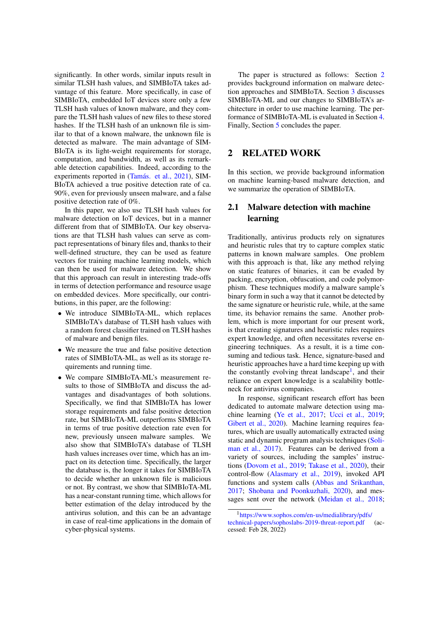significantly. In other words, similar inputs result in similar TLSH hash values, and SIMBIoTA takes advantage of this feature. More specifically, in case of SIMBIoTA, embedded IoT devices store only a few TLSH hash values of known malware, and they compare the TLSH hash values of new files to these stored hashes. If the TLSH hash of an unknown file is similar to that of a known malware, the unknown file is detected as malware. The main advantage of SIM-BIoTA is its light-weight requirements for storage, computation, and bandwidth, as well as its remarkable detection capabilities. Indeed, according to the experiments reported in (Tamás. et al., 2021), SIM-BIoTA achieved a true positive detection rate of ca. 90%, even for previously unseen malware, and a false positive detection rate of 0%.

In this paper, we also use TLSH hash values for malware detection on IoT devices, but in a manner different from that of SIMBIoTA. Our key observations are that TLSH hash values can serve as compact representations of binary files and, thanks to their well-defined structure, they can be used as feature vectors for training machine learning models, which can then be used for malware detection. We show that this approach can result in interesting trade-offs in terms of detection performance and resource usage on embedded devices. More specifically, our contributions, in this paper, are the following:

- We introduce SIMBIoTA-ML, which replaces SIMBIoTA's database of TLSH hash values with a random forest classifier trained on TLSH hashes of malware and benign files.
- We measure the true and false positive detection rates of SIMBIoTA-ML, as well as its storage requirements and running time.
- We compare SIMBIoTA-ML's measurement results to those of SIMBIoTA and discuss the advantages and disadvantages of both solutions. Specifically, we find that SIMBIoTA has lower storage requirements and false positive detection rate, but SIMBIoTA-ML outperforms SIMBIoTA in terms of true positive detection rate even for new, previously unseen malware samples. We also show that SIMBIoTA's database of TLSH hash values increases over time, which has an impact on its detection time. Specifically, the larger the database is, the longer it takes for SIMBIoTA to decide whether an unknown file is malicious or not. By contrast, we show that SIMBIoTA-ML has a near-constant running time, which allows for better estimation of the delay introduced by the antivirus solution, and this can be an advantage in case of real-time applications in the domain of cyber-physical systems.

The paper is structured as follows: Section [2](#page-1-0) provides background information on malware detection approaches and SIMBIoTA. Section [3](#page-3-0) discusses SIMBIoTA-ML and our changes to SIMBIoTA's architecture in order to use machine learning. The performance of SIMBIoTA-ML is evaluated in Section [4.](#page-4-0) Finally, Section [5](#page-8-0) concludes the paper.

## <span id="page-1-0"></span>2 RELATED WORK

In this section, we provide background information on machine learning-based malware detection, and we summarize the operation of SIMBIoTA.

## 2.1 Malware detection with machine learning

Traditionally, antivirus products rely on signatures and heuristic rules that try to capture complex static patterns in known malware samples. One problem with this approach is that, like any method relying on static features of binaries, it can be evaded by packing, encryption, obfuscation, and code polymorphism. These techniques modify a malware sample's binary form in such a way that it cannot be detected by the same signature or heuristic rule, while, at the same time, its behavior remains the same. Another problem, which is more important for our present work, is that creating signatures and heuristic rules requires expert knowledge, and often necessitates reverse engineering techniques. As a result, it is a time consuming and tedious task. Hence, signature-based and heuristic approaches have a hard time keeping up with the constantly evolving threat landscape<sup>[1](#page-1-1)</sup>, and their reliance on expert knowledge is a scalability bottleneck for antivirus companies.

In response, significant research effort has been dedicated to automate malware detection using machine learning [\(Ye et al., 2017;](#page-11-2) [Ucci et al., 2019;](#page-11-3) [Gibert et al., 2020\)](#page-10-1). Machine learning requires features, which are usually automatically extracted using static and dynamic program analysis techniques [\(Soli](#page-11-4)[man et al., 2017\)](#page-11-4). Features can be derived from a variety of sources, including the samples' instructions [\(Dovom et al., 2019;](#page-10-2) [Takase et al., 2020\)](#page-11-5), their control-flow [\(Alasmary et al., 2019\)](#page-9-1), invoked API functions and system calls [\(Abbas and Srikanthan,](#page-9-2) [2017;](#page-9-2) [Shobana and Poonkuzhali, 2020\)](#page-11-6), and mes-sages sent over the network [\(Meidan et al., 2018;](#page-10-3)

<span id="page-1-1"></span><sup>1</sup>[https://www.sophos.com/en-us/medialibrary/pdfs/](https://www.sophos.com/en-us/medialibrary/pdfs/technical-papers/sophoslabs-2019-threat-report.pdf) [technical-papers/sophoslabs-2019-threat-report.pdf](https://www.sophos.com/en-us/medialibrary/pdfs/technical-papers/sophoslabs-2019-threat-report.pdf) (accessed: Feb 28, 2022)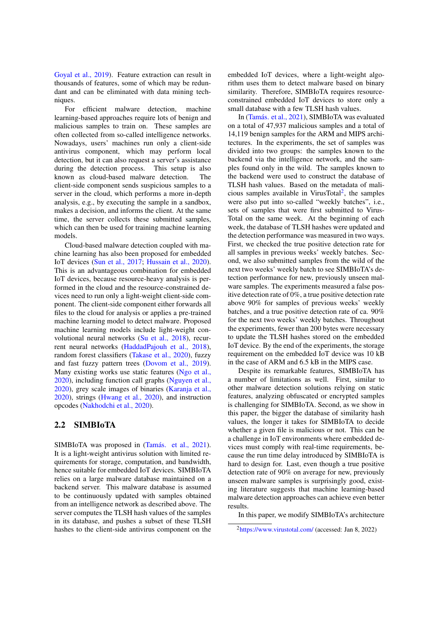[Goyal et al., 2019\)](#page-10-4). Feature extraction can result in thousands of features, some of which may be redundant and can be eliminated with data mining techniques.

For efficient malware detection, machine learning-based approaches require lots of benign and malicious samples to train on. These samples are often collected from so-called intelligence networks. Nowadays, users' machines run only a client-side antivirus component, which may perform local detection, but it can also request a server's assistance during the detection process. This setup is also known as cloud-based malware detection. The client-side component sends suspicious samples to a server in the cloud, which performs a more in-depth analysis, e.g., by executing the sample in a sandbox, makes a decision, and informs the client. At the same time, the server collects these submitted samples, which can then be used for training machine learning models.

Cloud-based malware detection coupled with machine learning has also been proposed for embedded IoT devices [\(Sun et al., 2017;](#page-11-7) [Hussain et al., 2020\)](#page-10-5). This is an advantageous combination for embedded IoT devices, because resource-heavy analysis is performed in the cloud and the resource-constrained devices need to run only a light-weight client-side component. The client-side component either forwards all files to the cloud for analysis or applies a pre-trained machine learning model to detect malware. Proposed machine learning models include light-weight convolutional neural networks [\(Su et al., 2018\)](#page-11-8), recurrent neural networks [\(HaddadPajouh et al., 2018\)](#page-10-6), random forest classifiers [\(Takase et al., 2020\)](#page-11-5), fuzzy and fast fuzzy pattern trees [\(Dovom et al., 2019\)](#page-10-2). Many existing works use static features [\(Ngo et al.,](#page-10-7) [2020\)](#page-10-7), including function call graphs [\(Nguyen et al.,](#page-10-8) [2020\)](#page-10-8), grey scale images of binaries [\(Karanja et al.,](#page-10-9) [2020\)](#page-10-9), strings [\(Hwang et al., 2020\)](#page-10-10), and instruction opcodes [\(Nakhodchi et al., 2020\)](#page-10-11).

### 2.2 SIMBIoTA

SIMBIoTA was proposed in (Tamás. et al., 2021). It is a light-weight antivirus solution with limited requirements for storage, computation, and bandwidth, hence suitable for embedded IoT devices. SIMBIoTA relies on a large malware database maintained on a backend server. This malware database is assumed to be continuously updated with samples obtained from an intelligence network as described above. The server computes the TLSH hash values of the samples in its database, and pushes a subset of these TLSH hashes to the client-side antivirus component on the embedded IoT devices, where a light-weight algorithm uses them to detect malware based on binary similarity. Therefore, SIMBIoTA requires resourceconstrained embedded IoT devices to store only a small database with a few TLSH hash values.

In (Tamás. et al., 2021), SIMBIoTA was evaluated on a total of 47,937 malicious samples and a total of 14,119 benign samples for the ARM and MIPS architectures. In the experiments, the set of samples was divided into two groups: the samples known to the backend via the intelligence network, and the samples found only in the wild. The samples known to the backend were used to construct the database of TLSH hash values. Based on the metadata of mali-cious samples available in VirusTotal<sup>[2](#page-2-0)</sup>, the samples were also put into so-called "weekly batches", i.e., sets of samples that were first submitted to Virus-Total on the same week. At the beginning of each week, the database of TLSH hashes were updated and the detection performance was measured in two ways. First, we checked the true positive detection rate for all samples in previous weeks' weekly batches. Second, we also submitted samples from the wild of the next two weeks' weekly batch to see SIMBIoTA's detection performance for new, previously unseen malware samples. The experiments measured a false positive detection rate of 0%, a true positive detection rate above 90% for samples of previous weeks' weekly batches, and a true positive detection rate of ca. 90% for the next two weeks' weekly batches. Throughout the experiments, fewer than 200 bytes were necessary to update the TLSH hashes stored on the embedded IoT device. By the end of the experiments, the storage requirement on the embedded IoT device was 10 kB in the case of ARM and 6.5 kB in the MIPS case.

Despite its remarkable features, SIMBIoTA has a number of limitations as well. First, similar to other malware detection solutions relying on static features, analyzing obfuscated or encrypted samples is challenging for SIMBIoTA. Second, as we show in this paper, the bigger the database of similarity hash values, the longer it takes for SIMBIoTA to decide whether a given file is malicious or not. This can be a challenge in IoT environments where embedded devices must comply with real-time requirements, because the run time delay introduced by SIMBIoTA is hard to design for. Last, even though a true positive detection rate of 90% on average for new, previously unseen malware samples is surprisingly good, existing literature suggests that machine learning-based malware detection approaches can achieve even better results.

In this paper, we modify SIMBIoTA's architecture

<span id="page-2-0"></span> $\mu^2$ <https://www.virustotal.com/> (accessed: Jan 8, 2022)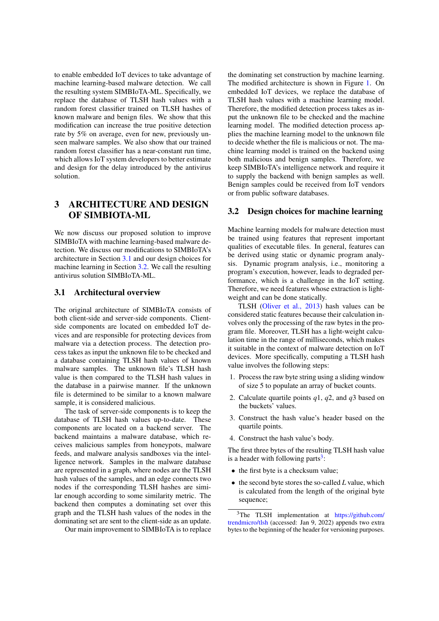to enable embedded IoT devices to take advantage of machine learning-based malware detection. We call the resulting system SIMBIoTA-ML. Specifically, we replace the database of TLSH hash values with a random forest classifier trained on TLSH hashes of known malware and benign files. We show that this modification can increase the true positive detection rate by 5% on average, even for new, previously unseen malware samples. We also show that our trained random forest classifier has a near-constant run time, which allows IoT system developers to better estimate and design for the delay introduced by the antivirus solution.

## <span id="page-3-0"></span>3 ARCHITECTURE AND DESIGN OF SIMBIOTA-ML

We now discuss our proposed solution to improve SIMBIoTA with machine learning-based malware detection. We discuss our modifications to SIMBIoTA's architecture in Section [3.1](#page-3-1) and our design choices for machine learning in Section [3.2.](#page-3-2) We call the resulting antivirus solution SIMBIoTA-ML.

#### <span id="page-3-1"></span>3.1 Architectural overview

The original architecture of SIMBIoTA consists of both client-side and server-side components. Clientside components are located on embedded IoT devices and are responsible for protecting devices from malware via a detection process. The detection process takes as input the unknown file to be checked and a database containing TLSH hash values of known malware samples. The unknown file's TLSH hash value is then compared to the TLSH hash values in the database in a pairwise manner. If the unknown file is determined to be similar to a known malware sample, it is considered malicious.

The task of server-side components is to keep the database of TLSH hash values up-to-date. These components are located on a backend server. The backend maintains a malware database, which receives malicious samples from honeypots, malware feeds, and malware analysis sandboxes via the intelligence network. Samples in the malware database are represented in a graph, where nodes are the TLSH hash values of the samples, and an edge connects two nodes if the corresponding TLSH hashes are similar enough according to some similarity metric. The backend then computes a dominating set over this graph and the TLSH hash values of the nodes in the dominating set are sent to the client-side as an update.

Our main improvement to SIMBIoTA is to replace

the dominating set construction by machine learning. The modified architecture is shown in Figure [1.](#page-4-1) On embedded IoT devices, we replace the database of TLSH hash values with a machine learning model. Therefore, the modified detection process takes as input the unknown file to be checked and the machine learning model. The modified detection process applies the machine learning model to the unknown file to decide whether the file is malicious or not. The machine learning model is trained on the backend using both malicious and benign samples. Therefore, we keep SIMBIoTA's intelligence network and require it to supply the backend with benign samples as well. Benign samples could be received from IoT vendors or from public software databases.

#### <span id="page-3-2"></span>3.2 Design choices for machine learning

Machine learning models for malware detection must be trained using features that represent important qualities of executable files. In general, features can be derived using static or dynamic program analysis. Dynamic program analysis, i.e., monitoring a program's execution, however, leads to degraded performance, which is a challenge in the IoT setting. Therefore, we need features whose extraction is lightweight and can be done statically.

TLSH [\(Oliver et al., 2013\)](#page-11-1) hash values can be considered static features because their calculation involves only the processing of the raw bytes in the program file. Moreover, TLSH has a light-weight calculation time in the range of milliseconds, which makes it suitable in the context of malware detection on IoT devices. More specifically, computing a TLSH hash value involves the following steps:

- 1. Process the raw byte string using a sliding window of size 5 to populate an array of bucket counts.
- 2. Calculate quartile points *q*1, *q*2, and *q*3 based on the buckets' values.
- 3. Construct the hash value's header based on the quartile points.
- 4. Construct the hash value's body.

The first three bytes of the resulting TLSH hash value is a header with following parts<sup>[3](#page-3-3)</sup>:

- the first byte is a checksum value;
- the second byte stores the so-called *L* value, which is calculated from the length of the original byte sequence;

<span id="page-3-3"></span><sup>3</sup>The TLSH implementation at [https://github.com/](https://github.com/trendmicro/tlsh) [trendmicro/tlsh](https://github.com/trendmicro/tlsh) (accessed: Jan 9, 2022) appends two extra bytes to the beginning of the header for versioning purposes.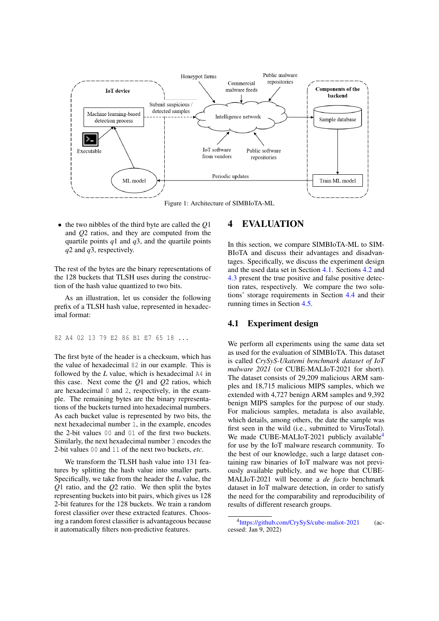<span id="page-4-1"></span>

Figure 1: Architecture of SIMBIoTA-ML

• the two nibbles of the third byte are called the *Q*1 and *Q*2 ratios, and they are computed from the quartile points *q*1 and *q*3, and the quartile points *q*2 and *q*3, respectively.

The rest of the bytes are the binary representations of the 128 buckets that TLSH uses during the construction of the hash value quantized to two bits.

As an illustration, let us consider the following prefix of a TLSH hash value, represented in hexadecimal format:

```
82 A4 02 13 79 E2 86 B1 E7 65 18 ...
```
The first byte of the header is a checksum, which has the value of hexadecimal 82 in our example. This is followed by the *L* value, which is hexadecimal A4 in this case. Next come the *Q*1 and *Q*2 ratios, which are hexadecimal 0 and 2, respectively, in the example. The remaining bytes are the binary representations of the buckets turned into hexadecimal numbers. As each bucket value is represented by two bits, the next hexadecimal number 1, in the example, encodes the 2-bit values 00 and 01 of the first two buckets. Similarly, the next hexadecimal number 3 encodes the 2-bit values 00 and 11 of the next two buckets, *etc*.

We transform the TLSH hash value into 131 features by splitting the hash value into smaller parts. Specifically, we take from the header the *L* value, the *Q*1 ratio, and the *Q*2 ratio. We then split the bytes representing buckets into bit pairs, which gives us 128 2-bit features for the 128 buckets. We train a random forest classifier over these extracted features. Choosing a random forest classifier is advantageous because it automatically filters non-predictive features.

## <span id="page-4-0"></span>4 EVALUATION

In this section, we compare SIMBIoTA-ML to SIM-BIoTA and discuss their advantages and disadvantages. Specifically, we discuss the experiment design and the used data set in Section [4.1.](#page-4-2) Sections [4.2](#page-5-0) and [4.3](#page-6-0) present the true positive and false positive detection rates, respectively. We compare the two solutions' storage requirements in Section [4.4](#page-8-1) and their running times in Section [4.5.](#page-8-2)

### <span id="page-4-2"></span>4.1 Experiment design

We perform all experiments using the same data set as used for the evaluation of SIMBIoTA. This dataset is called *CrySyS-Ukatemi benchmark dataset of IoT malware 2021* (or CUBE-MALIoT-2021 for short). The dataset consists of 29,209 malicious ARM samples and 18,715 malicious MIPS samples, which we extended with 4,727 benign ARM samples and 9,392 benign MIPS samples for the purpose of our study. For malicious samples, metadata is also available, which details, among others, the date the sample was first seen in the wild (i.e., submitted to VirusTotal). We made CUBE-MALIoT-2021 publicly available<sup>[4](#page-4-3)</sup> for use by the IoT malware research community. To the best of our knowledge, such a large dataset containing raw binaries of IoT malware was not previously available publicly, and we hope that CUBE-MALIoT-2021 will become a *de facto* benchmark dataset in IoT malware detection, in order to satisfy the need for the comparability and reproducibility of results of different research groups.

<span id="page-4-3"></span><sup>4</sup><https://github.com/CrySyS/cube-maliot-2021> (accessed: Jan 9, 2022)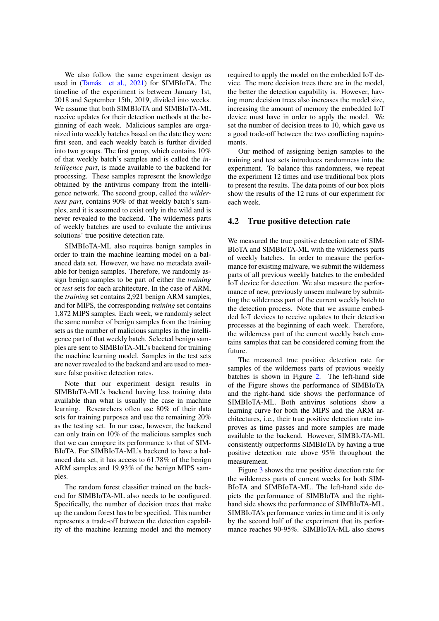We also follow the same experiment design as used in (Tamás. et al., 2021) for SIMBIoTA. The timeline of the experiment is between January 1st, 2018 and September 15th, 2019, divided into weeks. We assume that both SIMBIoTA and SIMBIoTA-ML receive updates for their detection methods at the beginning of each week. Malicious samples are organized into weekly batches based on the date they were first seen, and each weekly batch is further divided into two groups. The first group, which contains 10% of that weekly batch's samples and is called the *intelligence part*, is made available to the backend for processing. These samples represent the knowledge obtained by the antivirus company from the intelligence network. The second group, called the *wilderness part*, contains 90% of that weekly batch's samples, and it is assumed to exist only in the wild and is never revealed to the backend. The wilderness parts of weekly batches are used to evaluate the antivirus solutions' true positive detection rate.

SIMBIoTA-ML also requires benign samples in order to train the machine learning model on a balanced data set. However, we have no metadata available for benign samples. Therefore, we randomly assign benign samples to be part of either the *training* or *test* sets for each architecture. In the case of ARM, the *training* set contains 2,921 benign ARM samples, and for MIPS, the corresponding *training* set contains 1,872 MIPS samples. Each week, we randomly select the same number of benign samples from the training sets as the number of malicious samples in the intelligence part of that weekly batch. Selected benign samples are sent to SIMBIoTA-ML's backend for training the machine learning model. Samples in the test sets are never revealed to the backend and are used to measure false positive detection rates.

Note that our experiment design results in SIMBIoTA-ML's backend having less training data available than what is usually the case in machine learning. Researchers often use 80% of their data sets for training purposes and use the remaining 20% as the testing set. In our case, however, the backend can only train on 10% of the malicious samples such that we can compare its performance to that of SIM-BIoTA. For SIMBIoTA-ML's backend to have a balanced data set, it has access to 61.78% of the benign ARM samples and 19.93% of the benign MIPS samples.

The random forest classifier trained on the backend for SIMBIoTA-ML also needs to be configured. Specifically, the number of decision trees that make up the random forest has to be specified. This number represents a trade-off between the detection capability of the machine learning model and the memory required to apply the model on the embedded IoT device. The more decision trees there are in the model, the better the detection capability is. However, having more decision trees also increases the model size, increasing the amount of memory the embedded IoT device must have in order to apply the model. We set the number of decision trees to 10, which gave us a good trade-off between the two conflicting requirements.

Our method of assigning benign samples to the training and test sets introduces randomness into the experiment. To balance this randomness, we repeat the experiment 12 times and use traditional box plots to present the results. The data points of our box plots show the results of the 12 runs of our experiment for each week.

#### <span id="page-5-0"></span>4.2 True positive detection rate

We measured the true positive detection rate of SIM-BIoTA and SIMBIoTA-ML with the wilderness parts of weekly batches. In order to measure the performance for existing malware, we submit the wilderness parts of all previous weekly batches to the embedded IoT device for detection. We also measure the performance of new, previously unseen malware by submitting the wilderness part of the current weekly batch to the detection process. Note that we assume embedded IoT devices to receive updates to their detection processes at the beginning of each week. Therefore, the wilderness part of the current weekly batch contains samples that can be considered coming from the future.

The measured true positive detection rate for samples of the wilderness parts of previous weekly batches is shown in Figure [2.](#page-6-1) The left-hand side of the Figure shows the performance of SIMBIoTA and the right-hand side shows the performance of SIMBIoTA-ML. Both antivirus solutions show a learning curve for both the MIPS and the ARM architectures, i.e., their true positive detection rate improves as time passes and more samples are made available to the backend. However, SIMBIoTA-ML consistently outperforms SIMBIoTA by having a true positive detection rate above 95% throughout the measurement.

Figure [3](#page-7-0) shows the true positive detection rate for the wilderness parts of current weeks for both SIM-BIoTA and SIMBIoTA-ML. The left-hand side depicts the performance of SIMBIoTA and the righthand side shows the performance of SIMBIoTA-ML. SIMBIoTA's performance varies in time and it is only by the second half of the experiment that its performance reaches 90-95%. SIMBIoTA-ML also shows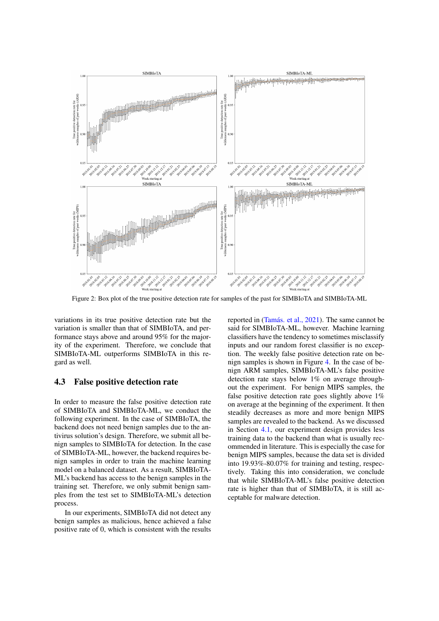<span id="page-6-1"></span>

Figure 2: Box plot of the true positive detection rate for samples of the past for SIMBIoTA and SIMBIoTA-ML

variations in its true positive detection rate but the variation is smaller than that of SIMBIoTA, and performance stays above and around 95% for the majority of the experiment. Therefore, we conclude that SIMBIoTA-ML outperforms SIMBIoTA in this regard as well.

#### <span id="page-6-0"></span>4.3 False positive detection rate

In order to measure the false positive detection rate of SIMBIoTA and SIMBIoTA-ML, we conduct the following experiment. In the case of SIMBIoTA, the backend does not need benign samples due to the antivirus solution's design. Therefore, we submit all benign samples to SIMBIoTA for detection. In the case of SIMBIoTA-ML, however, the backend requires benign samples in order to train the machine learning model on a balanced dataset. As a result, SIMBIoTA-ML's backend has access to the benign samples in the training set. Therefore, we only submit benign samples from the test set to SIMBIoTA-ML's detection process.

In our experiments, SIMBIoTA did not detect any benign samples as malicious, hence achieved a false positive rate of 0, which is consistent with the results reported in (Tamás. et al., 2021). The same cannot be said for SIMBIoTA-ML, however. Machine learning classifiers have the tendency to sometimes misclassify inputs and our random forest classifier is no exception. The weekly false positive detection rate on benign samples is shown in Figure [4.](#page-7-1) In the case of benign ARM samples, SIMBIoTA-ML's false positive detection rate stays below 1% on average throughout the experiment. For benign MIPS samples, the false positive detection rate goes slightly above 1% on average at the beginning of the experiment. It then steadily decreases as more and more benign MIPS samples are revealed to the backend. As we discussed in Section [4.1,](#page-4-2) our experiment design provides less training data to the backend than what is usually recommended in literature. This is especially the case for benign MIPS samples, because the data set is divided into 19.93%-80.07% for training and testing, respectively. Taking this into consideration, we conclude that while SIMBIoTA-ML's false positive detection rate is higher than that of SIMBIoTA, it is still acceptable for malware detection.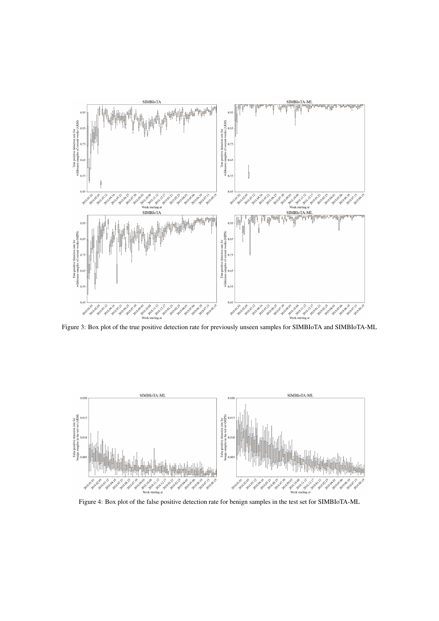<span id="page-7-0"></span>

Figure 3: Box plot of the true positive detection rate for previously unseen samples for SIMBIoTA and SIMBIoTA-ML

<span id="page-7-1"></span>

Figure 4: Box plot of the false positive detection rate for benign samples in the test set for SIMBIoTA-ML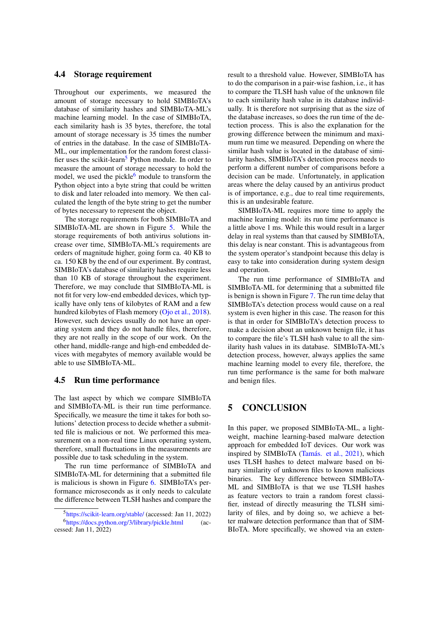#### <span id="page-8-1"></span>4.4 Storage requirement

Throughout our experiments, we measured the amount of storage necessary to hold SIMBIoTA's database of similarity hashes and SIMBIoTA-ML's machine learning model. In the case of SIMBIoTA, each similarity hash is 35 bytes, therefore, the total amount of storage necessary is 35 times the number of entries in the database. In the case of SIMBIoTA-ML, our implementation for the random forest classi-fier uses the scikit-learn<sup>[5](#page-8-3)</sup> Python module. In order to measure the amount of storage necessary to hold the model, we used the pickle $<sup>6</sup>$  $<sup>6</sup>$  $<sup>6</sup>$  module to transform the</sup> Python object into a byte string that could be written to disk and later reloaded into memory. We then calculated the length of the byte string to get the number of bytes necessary to represent the object.

The storage requirements for both SIMBIoTA and SIMBIoTA-ML are shown in Figure [5.](#page-9-3) While the storage requirements of both antivirus solutions increase over time, SIMBIoTA-ML's requirements are orders of magnitude higher, going form ca. 40 KB to ca. 150 KB by the end of our experiment. By contrast, SIMBIoTA's database of similarity hashes require less than 10 KB of storage throughout the experiment. Therefore, we may conclude that SIMBIoTA-ML is not fit for very low-end embedded devices, which typically have only tens of kilobytes of RAM and a few hundred kilobytes of Flash memory [\(Ojo et al., 2018\)](#page-10-12). However, such devices usually do not have an operating system and they do not handle files, therefore, they are not really in the scope of our work. On the other hand, middle-range and high-end embedded devices with megabytes of memory available would be able to use SIMBIoTA-ML.

#### <span id="page-8-2"></span>4.5 Run time performance

The last aspect by which we compare SIMBIoTA and SIMBIoTA-ML is their run time performance. Specifically, we measure the time it takes for both solutions' detection process to decide whether a submitted file is malicious or not. We performed this measurement on a non-real time Linux operating system, therefore, small fluctuations in the measurements are possible due to task scheduling in the system.

The run time performance of SIMBIoTA and SIMBIoTA-ML for determining that a submitted file is malicious is shown in Figure [6.](#page-10-13) SIMBIoTA's performance microseconds as it only needs to calculate the difference between TLSH hashes and compare the result to a threshold value. However, SIMBIoTA has to do the comparison in a pair-wise fashion, i.e., it has to compare the TLSH hash value of the unknown file to each similarity hash value in its database individually. It is therefore not surprising that as the size of the database increases, so does the run time of the detection process. This is also the explanation for the growing difference between the minimum and maximum run time we measured. Depending on where the similar hash value is located in the database of similarity hashes, SIMBIoTA's detection process needs to perform a different number of comparisons before a decision can be made. Unfortunately, in application areas where the delay caused by an antivirus product is of importance, e.g., due to real time requirements, this is an undesirable feature.

SIMBIoTA-ML requires more time to apply the machine learning model: its run time performance is a little above 1 ms. While this would result in a larger delay in real systems than that caused by SIMBIoTA, this delay is near constant. This is advantageous from the system operator's standpoint because this delay is easy to take into consideration during system design and operation.

The run time performance of SIMBIoTA and SIMBIoTA-ML for determining that a submitted file is benign is shown in Figure [7.](#page-11-9) The run time delay that SIMBIoTA's detection process would cause on a real system is even higher in this case. The reason for this is that in order for SIMBIoTA's detection process to make a decision about an unknown benign file, it has to compare the file's TLSH hash value to all the similarity hash values in its database. SIMBIoTA-ML's detection process, however, always applies the same machine learning model to every file, therefore, the run time performance is the same for both malware and benign files.

### <span id="page-8-0"></span>5 CONCLUSION

In this paper, we proposed SIMBIoTA-ML, a lightweight, machine learning-based malware detection approach for embedded IoT devices. Our work was inspired by SIMBIoTA (Tamás. et al., 2021), which uses TLSH hashes to detect malware based on binary similarity of unknown files to known malicious binaries. The key difference between SIMBIoTA-ML and SIMBIoTA is that we use TLSH hashes as feature vectors to train a random forest classifier, instead of directly measuring the TLSH similarity of files, and by doing so, we achieve a better malware detection performance than that of SIM-BIoTA. More specifically, we showed via an exten-

<span id="page-8-4"></span><span id="page-8-3"></span><sup>5</sup><https://scikit-learn.org/stable/> (accessed: Jan 11, 2022) <sup>6</sup><https://docs.python.org/3/library/pickle.html> (accessed: Jan 11, 2022)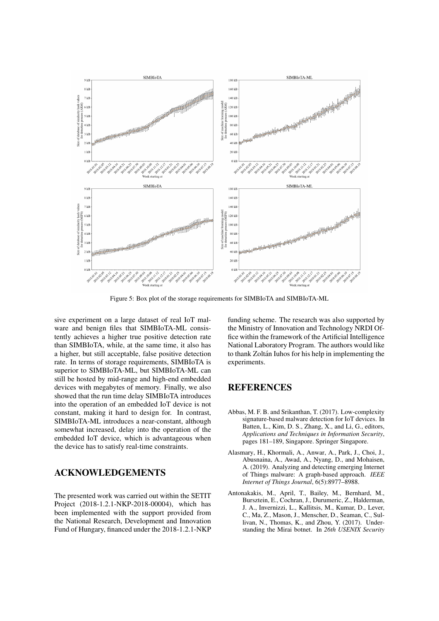<span id="page-9-3"></span>

Figure 5: Box plot of the storage requirements for SIMBIoTA and SIMBIoTA-ML

sive experiment on a large dataset of real IoT malware and benign files that SIMBIoTA-ML consistently achieves a higher true positive detection rate than SIMBIoTA, while, at the same time, it also has a higher, but still acceptable, false positive detection rate. In terms of storage requirements, SIMBIoTA is superior to SIMBIoTA-ML, but SIMBIoTA-ML can still be hosted by mid-range and high-end embedded devices with megabytes of memory. Finally, we also showed that the run time delay SIMBIoTA introduces into the operation of an embedded IoT device is not constant, making it hard to design for. In contrast, SIMBIoTA-ML introduces a near-constant, although somewhat increased, delay into the operation of the embedded IoT device, which is advantageous when the device has to satisfy real-time constraints.

### ACKNOWLEDGEMENTS

The presented work was carried out within the SETIT Project (2018-1.2.1-NKP-2018-00004), which has been implemented with the support provided from the National Research, Development and Innovation Fund of Hungary, financed under the 2018-1.2.1-NKP

funding scheme. The research was also supported by the Ministry of Innovation and Technology NRDI Office within the framework of the Artificial Intelligence National Laboratory Program. The authors would like to thank Zoltán Iuhos for his help in implementing the experiments.

## REFERENCES

- <span id="page-9-2"></span>Abbas, M. F. B. and Srikanthan, T. (2017). Low-complexity signature-based malware detection for IoT devices. In Batten, L., Kim, D. S., Zhang, X., and Li, G., editors, *Applications and Techniques in Information Security*, pages 181–189, Singapore. Springer Singapore.
- <span id="page-9-1"></span>Alasmary, H., Khormali, A., Anwar, A., Park, J., Choi, J., Abusnaina, A., Awad, A., Nyang, D., and Mohaisen, A. (2019). Analyzing and detecting emerging Internet of Things malware: A graph-based approach. *IEEE Internet of Things Journal*, 6(5):8977–8988.
- <span id="page-9-0"></span>Antonakakis, M., April, T., Bailey, M., Bernhard, M., Bursztein, E., Cochran, J., Durumeric, Z., Halderman, J. A., Invernizzi, L., Kallitsis, M., Kumar, D., Lever, C., Ma, Z., Mason, J., Menscher, D., Seaman, C., Sullivan, N., Thomas, K., and Zhou, Y. (2017). Understanding the Mirai botnet. In *26th USENIX Security*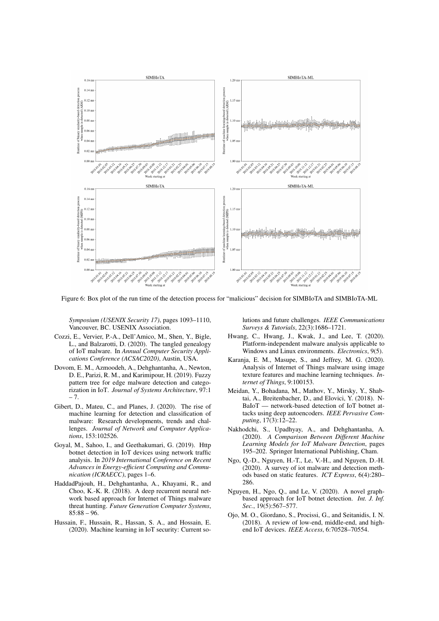<span id="page-10-13"></span>

Figure 6: Box plot of the run time of the detection process for "malicious" decision for SIMBIoTA and SIMBIoTA-ML

*Symposium (USENIX Security 17)*, pages 1093–1110, Vancouver, BC. USENIX Association.

- <span id="page-10-0"></span>Cozzi, E., Vervier, P.-A., Dell'Amico, M., Shen, Y., Bigle, L., and Balzarotti, D. (2020). The tangled genealogy of IoT malware. In *Annual Computer Security Applications Conference (ACSAC2020)*, Austin, USA.
- <span id="page-10-2"></span>Dovom, E. M., Azmoodeh, A., Dehghantanha, A., Newton, D. E., Parizi, R. M., and Karimipour, H. (2019). Fuzzy pattern tree for edge malware detection and categorization in IoT. *Journal of Systems Architecture*, 97:1 – 7.
- <span id="page-10-1"></span>Gibert, D., Mateu, C., and Planes, J. (2020). The rise of machine learning for detection and classification of malware: Research developments, trends and challenges. *Journal of Network and Computer Applications*, 153:102526.
- <span id="page-10-4"></span>Goyal, M., Sahoo, I., and Geethakumari, G. (2019). Http botnet detection in IoT devices using network traffic analysis. In *2019 International Conference on Recent Advances in Energy-efficient Computing and Communication (ICRAECC)*, pages 1–6.
- <span id="page-10-6"></span>HaddadPajouh, H., Dehghantanha, A., Khayami, R., and Choo, K.-K. R. (2018). A deep recurrent neural network based approach for Internet of Things malware threat hunting. *Future Generation Computer Systems*,  $85:88 - 96.$
- <span id="page-10-5"></span>Hussain, F., Hussain, R., Hassan, S. A., and Hossain, E. (2020). Machine learning in IoT security: Current so-

lutions and future challenges. *IEEE Communications Surveys & Tutorials*, 22(3):1686–1721.

- <span id="page-10-10"></span>Hwang, C., Hwang, J., Kwak, J., and Lee, T. (2020). Platform-independent malware analysis applicable to Windows and Linux environments. *Electronics*, 9(5).
- <span id="page-10-9"></span>Karanja, E. M., Masupe, S., and Jeffrey, M. G. (2020). Analysis of Internet of Things malware using image texture features and machine learning techniques. *Internet of Things*, 9:100153.
- <span id="page-10-3"></span>Meidan, Y., Bohadana, M., Mathov, Y., Mirsky, Y., Shabtai, A., Breitenbacher, D., and Elovici, Y. (2018). N-BaIoT — network-based detection of IoT botnet attacks using deep autoencoders. *IEEE Pervasive Computing*, 17(3):12–22.
- <span id="page-10-11"></span>Nakhodchi, S., Upadhyay, A., and Dehghantanha, A. (2020). *A Comparison Between Different Machine Learning Models for IoT Malware Detection*, pages 195–202. Springer International Publishing, Cham.
- <span id="page-10-7"></span>Ngo, Q.-D., Nguyen, H.-T., Le, V.-H., and Nguyen, D.-H. (2020). A survey of iot malware and detection methods based on static features. *ICT Express*, 6(4):280– 286.
- <span id="page-10-8"></span>Nguyen, H., Ngo, Q., and Le, V. (2020). A novel graphbased approach for IoT botnet detection. *Int. J. Inf. Sec.*, 19(5):567–577.
- <span id="page-10-12"></span>Ojo, M. O., Giordano, S., Procissi, G., and Seitanidis, I. N. (2018). A review of low-end, middle-end, and highend IoT devices. *IEEE Access*, 6:70528–70554.